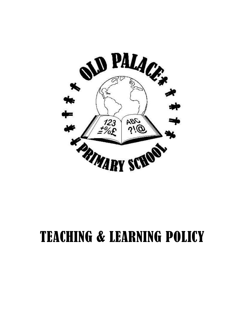

# TEACHING & LEARNING POLICY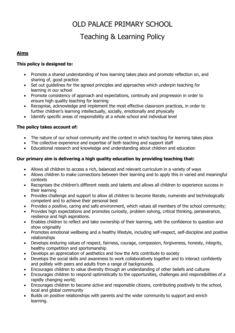# OLD PALACE PRIMARY SCHOOL Teaching & Learning Policy

# **Aims**

#### **This policy is designed to:**

- Promote a shared understanding of how learning takes place and promote reflection on, and sharing of, good practice
- Set out guidelines for the agreed principles and approaches which underpin teaching for learning in our school
- Promote consistency of approach and expectations, continuity and progression in order to ensure high quality teaching for learning
- Recognise, acknowledge and implement the most effective classroom practices, in order to further children's learning intellectually, socially, emotionally and physically
- Identify specific areas of responsibility at a whole school and individual level

# **The policy takes account of:**

- The nature of our school community and the context in which teaching for learning takes place
- The collective experience and expertise of both teaching and support staff
- Educational research and knowledge and understanding about children and education

#### **Our primary aim is delivering a high quality education by providing teaching that:**

- Allows all children to access a rich, balanced and relevant curriculum in a variety of ways
- Allows children to make connections between their learning and to apply this in varied and meaningful contexts
- Recognises the children's different needs and talents and allows all children to experience success in their learning
- Provides challenge and support to allow all children to become literate, numerate and technologically competent and to achieve their personal best
- Provides a positive, caring and safe environment, which values all members of the school community;
- Provides high expectations and promotes curiosity, problem solving, critical thinking, perseverance, resilience and high aspirations.
- Enables children to reflect and take ownership of their learning, with the confidence to question and show originality
- Promotes emotional wellbeing and a healthy lifestyle, including self-respect, self-discipline and positive relationships
- Develops enduring values of respect, fairness, courage, compassion, forgiveness, honesty, integrity, healthy competition and sportsmanship
- Develops an appreciation of aesthetics and how the Arts contribute to society
- Develops the social skills and awareness to work collaboratively together and to interact confidently and politely with peers and adults from a range of backgrounds.
- Encourages children to value diversity through an understanding of other beliefs and cultures
- Encourages children to respond optimistically to the opportunities, challenges and responsibilities of a rapidly changing world;
- Encourages children to become active and responsible citizens, contributing positively to the school, local and global community
- Builds on positive relationships with parents and the wider community to support and enrich learning.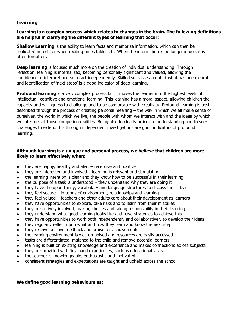# **Learning**

#### **Learning is a complex process which relates to changes in the brain. The following definitions are helpful in clarifying the different types of learning that occur:**

**Shallow Learning** is the ability to learn facts and memorize information, which can then be replicated in tests or when reciting times tables etc. When the information is no longer in use, it is often forgotten**.** 

**Deep learning** is focused much more on the creation of individual understanding. Through reflection, learning is internalized, becoming personally significant and valued, allowing the confidence to interpret and so to act independently. Skilled self-assessment of what has been learnt and identification of 'next steps' is a good indicator of deep learning.

**Profound learning** is a very complex process but it moves the learner into the highest levels of intellectual, cognitive and emotional learning. This learning has a moral aspect, allowing children the capacity and willingness to challenge and to be comfortable with creativity. Profound learning is best described through the process of creating personal meaning – the way in which we all make sense of ourselves, the world in which we live, the people with whom we interact with and the ideas by which we interpret all those competing realities. Being able to clearly articulate understanding and to seek challenges to extend this through independent investigations are good indicators of profound learning.

#### **Although learning is a unique and personal process, we believe that children are more likely to learn effectively when:**

- $\bullet$  they are happy, healthy and alert receptive and positive
- $\bullet$  they are interested and involved learning is relevant and stimulating
- the learning intention is clear and they know how to be successful in their learning
- $\bullet$  the purpose of a task is understood they understand why they are doing it
- they have the opportunity, vocabulary and language structures to discuss their ideas
- $\bullet$  they feel secure in terms of environment, relationships and learning
- they feel valued teachers and other adults care about their development as learners
- they have opportunities to explore, take risks and to learn from their mistakes
- they are actively involved, making choices and taking responsibility in their learning
- they understand what good learning looks like and have strategies to achieve this
- they have opportunities to work both independently and collaboratively to develop their ideas
- they regularly reflect upon what and how they learn and know the next step
- they receive positive feedback and praise for achievements
- the learning environment is well-organised and resources are easily accessed
- tasks are differentiated, matched to the child and remove potential barriers
- learning is built on existing knowledge and experience and makes connections across subjects
- they are provided with first hand experiences, such as educational visits
- the teacher is knowledgeable, enthusiastic and motivated
- consistent strategies and expectations are taught and upheld across the school

#### **We define good learning behaviours as:**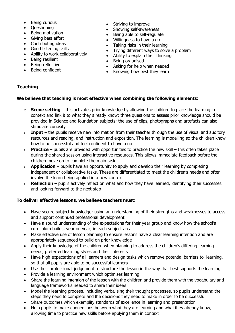- Being curious
- Ouestioning
- Being motivation
- Giving best effort
- Contributing ideas
- Good listening skills
- Ability to work collaboratively
- Being resilient
- Being reflective
- Being confident
- Striving to improve
- Showing self-awareness
- Being able to self-regulate
- Willingness to have a go
- Taking risks in their learning
- Trying different ways to solve a problem
- Ability to explain their thinking
- Being organised
- Asking for help when needed
- Knowing how best they learn

# **Teaching**

# **We believe that teaching is most effective when combining the following elements:**

- o **Scene setting** this activates prior knowledge by allowing the children to place the learning in context and link it to what they already know; three questions to assess prior knowledge should be provided in Science and foundation subjects; the use of clips, photographs and artefacts can also stimulate curiosity
- o **Input** the pupils receive new information from their teacher through the use of visual and auditory resources and reading, and instruction and exposition. The learning is modelling so the children know how to be successful and feel confident to have a go
- o **Practice** pupils are provided with opportunities to practice the new skill this often takes place during the shared session using interactive resources. This allows immediate feedback before the children move on to complete the main task
- o **Application**  pupils have an opportunity to apply and develop their learning by completing independent or collaborative tasks. These are differentiated to meet the children's needs and often involve the learn being applied in a new context
- o **Reflection** pupils actively reflect on what and how they have learned, identifying their successes and looking forward to the next step

# **To deliver effective lessons, we believe teachers must:**

- Have secure subject knowledge; using an understanding of their strengths and weaknesses to access and support continued professional development
- Have a sound understanding of the expectations for their year group and know how the school's curriculum builds, year on year, in each subject area
- Make effective use of lesson planning to ensure lessons have a clear learning intention and are appropriately sequenced to build on prior knowledge
- Apply their knowledge of the children when planning to address the children's differing learning needs, preferred learning styles and their interests
- Have high expectations of all learners and design tasks which remove potential barriers to learning, so that all pupils are able to be successful learners
- Use their professional judgement to structure the lesson in the way that best supports the learning
- Provide a learning environment which optimises learning
- Share the learning intention of the lesson with the children and provide them with the vocabulary and language frameworks needed to share their ideas
- Model the learning process, including verbalising their thought processes, so pupils understand the steps they need to complete and the decisions they need to make in order to be successful
- Share outcomes which exemplify standards of excellence in learning and presentation
- Help pupils to make connections between what they are learning and what they already know, allowing time to practice new skills before applying them in context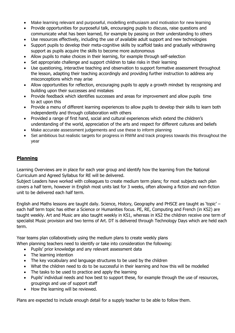- Make learning relevant and purposeful, modelling enthusiasm and motivation for new learning
- Provide opportunities for purposeful talk, encouraging pupils to discuss, raise questions and communicate what has been learned, for example by passing on their understanding to others
- Use resources effectively, including the use of available adult support and new technologies
- Support pupils to develop their meta-cognitive skills by scaffold tasks and gradually withdrawing support as pupils acquire the skills to become more autonomous
- Allow pupils to make choices in their learning, for example through self-selection
- Set appropriate challenge and support children to take risks in their learning
- Use questioning, interactive teaching and observation to support formative assessment throughout the lesson, adapting their teaching accordingly and providing further instruction to address any misconceptions which may arise
- Allow opportunities for reflection, encouraging pupils to apply a growth mindset by recognising and building upon their successes and mistakes
- Provide feedback which identifies successes and areas for improvement and allow pupils time to act upon this
- Provide a menu of different learning experiences to allow pupils to develop their skills to learn both independently and through collaboration with others
- Provided a range of first hand, social and cultural experiences which extend the children's understanding of the world, appreciation of the arts and respect for different cultures and beliefs
- Make accurate assessment judgements and use these to inform planning
- Set ambitious but realistic targets for progress in RWM and track progress towards this throughout the year

# **Planning**

Learning Overviews are in place for each year group and identify how the learning from the National Curriculum and Agreed Syllabus for RE will be delivered.

Subject Leaders have worked with colleagues to create medium term plans; for most subjects each plan covers a half term, however in English most units last for 3 weeks, often allowing a fiction and non-fiction unit to be delivered each half term.

English and Maths lessons are taught daily. Science, History, Geography and PHSCE are taught as 'topic' – each half term topic has either a Science or Humanities focus. PE, RE, Computing and French (in KS2) are taught weekly. Art and Music are also taught weekly in KS1, whereas in KS2 the children receive one term of specialist Music provision and two terms of Art. DT is delivered through Technology Days which are held each term.

Year teams plan collaboratively using the medium plans to create weekly plans When planning teachers need to identify or take into consideration the following:

- Pupils' prior knowledge and any relevant assessment data
- The learning intention
- The key vocabulary and language structures to be used by the children
- What the children need to do to be successful in their learning and how this will be modelled
- The tasks to be used to practice and apply the learning
- Pupils' individual needs and how best to support these, for example through the use of resources, groupings and use of support staff
- How the learning will be reviewed.

Plans are expected to include enough detail for a supply teacher to be able to follow them.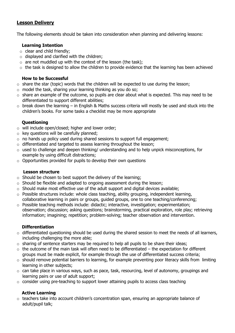# **Lesson Delivery**

The following elements should be taken into consideration when planning and delivering lessons:

#### **Learning Intention**

- $\circ$  clear and child friendly:
- $\circ$  displayed and clarified with the children;
- $\circ$  are not muddled up with the context of the lesson (the task);
- $\circ$  the task is designed to allow the children to provide evidence that the learning has been achieved

#### **How to be Successful**

- $\circ$  share the star (topic) words that the children will be expected to use during the lesson;
- $\circ$  model the task, sharing your learning thinking as you do so;
- $\circ$  share an example of the outcome, so pupils are clear about what is expected. This may need to be differentiated to support different abilities;
- $\circ$  break down the learning in English & Maths success criteria will mostly be used and stuck into the children's books. For some tasks a checklist may be more appropriate

#### **Questioning**

- o will include open/closed; higher and lower order;
- $\circ$  key questions will be carefully planned;
- $\circ$  no hands up policy used during shared sessions to support full engagement;
- o differentiated and targeted to assess learning throughout the lesson;
- o used to challenge and deepen thinking/ understanding and to help unpick misconceptions, for example by using difficult distractions;
- $\circ$  Opportunities provided for pupils to develop their own questions

#### **Lesson structure**

- $\circ$  Should be chosen to best support the delivery of the learning;
- o Should be flexible and adapted to ongoing assessment during the lesson;
- $\circ$  Should make most effective use of the adult support and digital devices available;
- o Possible structures include: whole class teaching, ability grouping, independent learning, collaborative learning in pairs or groups, guided groups, one to one teaching/conferencing;
- o Possible teaching methods include: didactic; interactive, investigation; experimentation; observation; discussion; asking questions; brainstorming, practical exploration, role play; retrieving information; imagining; repetition; problem-solving; teacher observation and intervention.

#### **Differentiation**

- o differentiated questioning should be used during the shared session to meet the needs of all learners, including challenging the more able;
- o sharing of sentence starters may be required to help all pupils to be share their ideas;
- $\circ$  the outcome of the main task will often need to be differentiated the expectation for different groups must be made explicit, for example through the use of differentiated success criteria;
- $\circ$  should remove potential barriers to learning, for example preventing poor literacy skills from limiting learning in other subjects;
- o can take place in various ways, such as pace, task, resourcing, level of autonomy, groupings and learning pairs or use of adult support;
- o consider using pre-teaching to support lower attaining pupils to access class teaching

#### **Active Learning**

 $\circ$  teachers take into account children's concentration span, ensuring an appropriate balance of adult/pupil talk;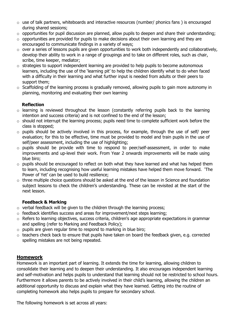- o use of talk partners, whiteboards and interactive resources (number/ phonics fans ) is encouraged during shared sessions;
- $\circ$  opportunities for pupil discussion are planned, allow pupils to deepen and share their understanding;
- $\circ$  opportunities are provided for pupils to make decisions about their own learning and they are encouraged to communicate findings in a variety of ways;
- $\circ$  over a series of lessons pupils are given opportunities to work both independently and collaboratively, develop their ability to work in a range of groupings and to take on different roles, such as chair, scribe, time keeper, mediator;
- $\circ$  strategies to support independent learning are provided to help pupils to become autonomous learners, including the use of the 'learning pit' to help the children identify what to do when faced with a difficulty in their learning and what further input is needed from adults or their peers to support them;
- $\circ$  Scaffolding of the learning process is gradually removed, allowing pupils to gain more autonomy in planning, monitoring and evaluating their own learning

#### **Reflection**

- o learning is reviewed throughout the lesson (constantly referring pupils back to the learning intention and success criteria) and is not confined to the end of the lesson;
- $\circ$  should not interrupt the learning process; pupils need time to complete sufficient work before the class is stopped;
- o pupils should be actively involved in this process, for example, through the use of self/ peer evaluation; for this to be effective, time must be provided to model and train pupils in the use of self/peer assessment, including the use of highlighting;
- o pupils should be provide with time to respond to peer/self-assessment, in order to make improvements and up-level their work. From Year 2 onwards improvements will be made using blue biro;
- $\circ$  pupils should be encouraged to reflect on both what they have learned and what has helped them to learn, including recognising how useful learning mistakes have helped them move forward. 'The Power of Yet' can be used to build resilience;
- o three multiple choice questions should be asked at the end of the lesson in Science and foundation subject lessons to check the children's understanding. These can be revisited at the start of the next lesson.

# **Feedback & Marking**

- $\circ$  verbal feedback will be given to the children through the learning process;
- o feedback identifies success and areas for improvement/next steps learning;
- $\circ$  Refers to learning objectives, success criteria, children's age appropriate expectations in grammar and spelling (refer to Marking and Feedback Policy);
- $\circ$  pupils are given regular time to respond to marking in blue biro;
- o teachers check back to ensure that pupils have taken on board the feedback given, e.g. corrected spelling mistakes are not being repeated.

# **Homework**

Homework is an important part of learning. It extends the time for learning, allowing children to consolidate their learning and to deepen their understanding. It also encourages independent learning and self-motivation and helps pupils to understand that learning should not be restricted to school hours. Furthermore it allows parents to be actively involved in their child's learning, allowing the children an additional opportunity to discuss and explain what they have learned. Getting into the routine of completing homework also helps pupils to prepare for secondary school.

The following homework is set across all years: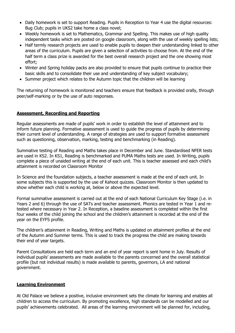- Daily homework is set to support Reading. Pupils in Reception to Year 4 use the digital resources: Bug Club; pupils in UKS2 take home a class novel;
- Weekly homework is set to Mathematics, Grammar and Spelling. This makes use of high quality independent tasks which are posted on google classroom, along with the use of weekly spelling lists;
- Half termly research projects are used to enable pupils to deepen their understanding linked to other areas of the curriculum. Pupils are given a selection of activities to choose from. At the end of the half term a class prize is awarded for the best overall research project and the one showing most effort;
- Winter and Spring holiday packs are also provided to ensure that pupils continue to practice their basic skills and to consolidate their use and understanding of key subject vocabulary;
- Summer project which relates to the Autumn topic that the children will be learning

The returning of homework is monitored and teachers ensure that feedback is provided orally, through peer/self-marking or by the use of auto responses.

#### **Assessment, Recording and Reporting**

Regular assessments are made of pupils' work in order to establish the level of attainment and to inform future planning. Formative assessment is used to guide the progress of pupils by determining their current level of understanding. A range of strategies are used to support formative assessment such as questioning, observation, marking, testing and benchmarking (in Reading).

Summative testing of Reading and Maths takes place in December and June. Standardised NFER tests are used in KS2. In KS1, Reading is benchmarked and PUMA Maths tests are used. In Writing, pupils complete a piece of unaided writing at the end of each unit. This is teacher assessed and each child's attainment is recorded on Classroom Monitor

In Science and the foundation subjects, a teacher assessment is made at the end of each unit. In some subjects this is supported by the use of Kahoot quizzes. Classroom Monitor is then updated to show whether each child is working at, below or above the expected level.

Formal summative assessment is carried out at the end of each National Curriculum Key Stage (i.e. in Years 2 and 6) through the use of SATs and teacher assessment. Phonics are tested in Year 1 and retested where necessary in Year 2. In Reception, a baseline assessment is completed within the first four weeks of the child joining the school and the children's attainment is recorded at the end of the year on the EYFS profile.

The children's attainment in Reading, Writing and Maths is updated on attainment profiles at the end of the Autumn and Summer terms. This is used to track the progress the child are making towards their end of year targets.

Parent Consultations are held each term and an end of year report is sent home in July. Results of individual pupils' assessments are made available to the parents concerned and the overall statistical profile (but not individual results) is made available to parents, governors, LA and national government.

#### **Learning Environment**

At Old Palace we believe a positive, inclusive environment sets the climate for learning and enables all children to access the curriculum. By promoting excellence, high standards can be modelled and our pupils' achievements celebrated. All areas of the learning environment will be planned for, including,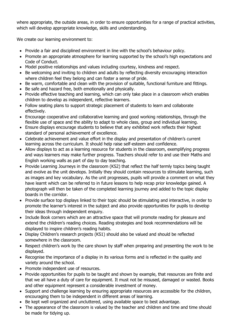where appropriate, the outside areas, in order to ensure opportunities for a range of practical activities, which will develop appropriate knowledge, skills and understanding.

We create our learning environment to:

- Provide a fair and disciplined environment in line with the school's behaviour policy.
- Promote an appropriate atmosphere for learning supported by the school's high expectations and Code of Conduct.
- Model positive relationships and values including courtesy, kindness and respect.
- Be welcoming and inviting to children and adults by reflecting diversity encouraging interaction where children feel they belong and can foster a sense of pride.
- Be warm, comfortable and clean with the provision of suitable, functional furniture and fittings.
- Be safe and hazard free, both emotionally and physically.
- Provide effective teaching and learning, which can only take place in a classroom which enables children to develop as independent, reflective learners.
- Follow seating plans to support strategic placement of students to learn and collaborate effectively.
- Encourage cooperative and collaborative learning and good working relationships, through the flexible use of space and the ability to adapt to whole class, group and individual learning.
- Ensure displays encourage students to believe that any exhibited work reflects their highest standard of personal achievement of excellence.
- Celebrate achievement and value effort in the display and presentation of children's current learning across the curriculum. It should help raise self-esteem and confidence.
- Allow displays to act as a learning resource for students in the classroom, exemplifying progress and ways learners may make further progress. Teachers should refer to and use their Maths and English working walls as part of day to day teaching.
- Provide Learning Journeys in the classroom (KS2) that reflect the half termly topics being taught and evolve as the unit develops. Initially they should contain resources to stimulate learning, such as images and key vocabulary. As the unit progresses, pupils will provide a comment on what they have learnt which can be referred to in future lessons to help recap prior knowledge gained. A photograph will then be taken of the completed learning journey and added to the topic display boards in the corridor.
- Provide surface top displays linked to their topic should be stimulating and interactive, in order to promote the learner's interest in the subject and also provide opportunities for pupils to develop their ideas through independent enquiry.
- Include Book corners which are an attractive space that will promote reading for pleasure and extend the children's reading choices. Reading strategies and book recommendations will be displayed to inspire children's reading habits.
- Display Children's research projects (KS1) should also be valued and should be reflected somewhere in the classroom.
- Respect children's work by the care shown by staff when preparing and presenting the work to be displayed.
- Recognise the importance of a display in its various forms and is reflected in the quality and variety around the school.
- Promote independent use of resources.
- Provide opportunities for pupils to be taught and shown by example, that resources are finite and that we all have a duty of care for equipment. It must not be misused, damaged or wasted. Books and other equipment represent a considerable investment of money.
- Support and challenge learning by ensuring appropriate resources are accessible for the children, encouraging them to be independent in different areas of learning.
- Be kept well organized and uncluttered, using available space to best advantage.
- The appearance of the classroom is valued by the teacher and children and time and time should be made for tidying up.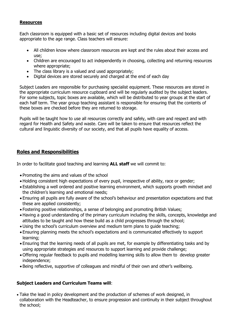#### **Resources**

Each classroom is equipped with a basic set of resources including digital devices and books appropriate to the age range. Class teachers will ensure:

- All children know where classroom resources are kept and the rules about their access and use;
- Children are encouraged to act independently in choosing, collecting and returning resources where appropriate;
- The class library is a valued and used appropriately;
- Digital devices are stored securely and charged at the end of each day

Subject Leaders are responsible for purchasing specialist equipment. These resources are stored in the appropriate curriculum resource cupboard and will be regularly audited by the subject leaders. For some subjects, topic boxes are available, which will be distributed to year groups at the start of each half term. The year group teaching assistant is responsible for ensuring that the contents of these boxes are checked before they are returned to storage.

Pupils will be taught how to use all resources correctly and safely, with care and respect and with regard for Health and Safety and waste. Care will be taken to ensure that resources reflect the cultural and linguistic diversity of our society, and that all pupils have equality of access.

# **Roles and Responsibilities**

In order to facilitate good teaching and learning **ALL staff** we will commit to:

- Promoting the aims and values of the school
- Holding consistent high expectations of every pupil, irrespective of ability, race or gender;
- Establishing a well ordered and positive learning environment, which supports growth mindset and the children's learning and emotional needs;
- Ensuring all pupils are fully aware of the school's behaviour and presentation expectations and that these are applied consistently;
- Fostering positive relationships, a sense of belonging and promoting British Values;
- Having a good understanding of the primary curriculum including the skills, concepts, knowledge and attitudes to be taught and how these build as a child progresses through the school;
- Using the school's curriculum overview and medium term plans to guide teaching;
- Ensuring planning meets the school's expectations and is communicated effectively to support learning;
- Ensuring that the learning needs of all pupils are met, for example by differentiating tasks and by using appropriate strategies and resources to support learning and provide challenge;
- Offering regular feedback to pupils and modelling learning skills to allow them to develop greater independence;
- Being reflective, supportive of colleagues and mindful of their own and other's wellbeing.

#### **Subject Leaders and Curriculum Teams will**:

 Take the lead in policy development and the production of schemes of work designed, in collaboration with the Headteacher, to ensure progression and continuity in their subject throughout the school;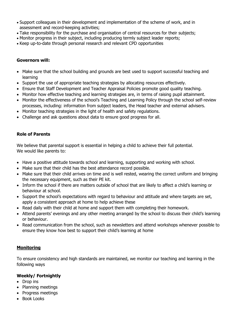- Support colleagues in their development and implementation of the scheme of work, and in assessment and record-keeping activities;
- Take responsibility for the purchase and organisation of central resources for their subjects;
- Monitor progress in their subject, including producing termly subject leader reports;
- Keep up-to-date through personal research and relevant CPD opportunities

#### **Governors will:**

- Make sure that the school building and grounds are best used to support successful teaching and learning
- Support the use of appropriate teaching strategies by allocating resources effectively.
- Ensure that Staff Development and Teacher Appraisal Policies promote good quality teaching.
- Monitor how effective teaching and learning strategies are, in terms of raising pupil attainment.
- Monitor the effectiveness of the school's Teaching and Learning Policy through the school self-review processes, including: information from subject leaders, the Head teacher and external advisers.
- Monitor teaching strategies in the light of health and safety regulations.
- Challenge and ask questions about data to ensure good progress for all.

#### **Role of Parents**

We believe that parental support is essential in helping a child to achieve their full potential. We would like parents to:

- Have a positive attitude towards school and learning, supporting and working with school.
- Make sure that their child has the best attendance record possible.
- Make sure that their child arrives on time and is well rested, wearing the correct uniform and bringing the necessary equipment, such as their PE kit.
- Inform the school if there are matters outside of school that are likely to affect a child's learning or behaviour at school.
- Support the school's expectations with regard to behaviour and attitude and where targets are set, apply a consistent approach at home to help achieve these
- Read daily with their child at home and support them with completing their homework.
- Attend parents' evenings and any other meeting arranged by the school to discuss their child's learning or behaviour.
- Read communication from the school, such as newsletters and attend workshops whenever possible to ensure they know how best to support their child's learning at home

#### **Monitoring**

To ensure consistency and high standards are maintained, we monitor our teaching and learning in the following ways

#### **Weekly/ Fortnightly**

- Drop ins
- Planning meetings
- Progress meetings
- Book Looks